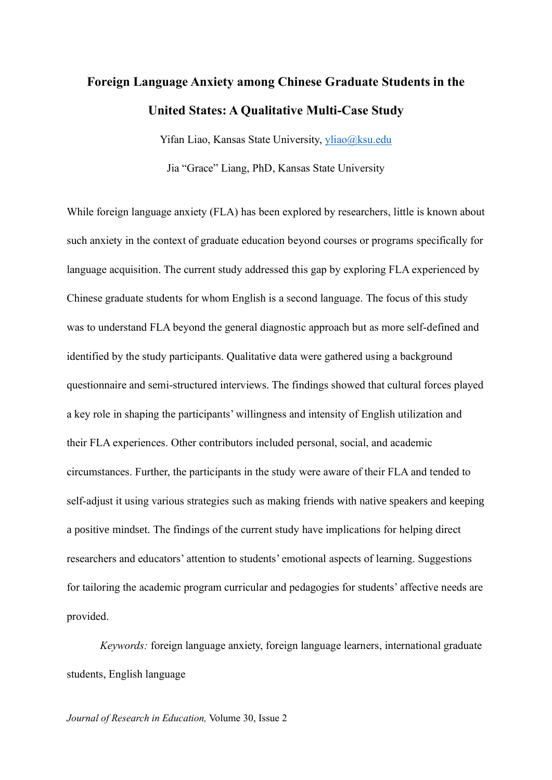# **Foreign Language Anxiety among Chinese Graduate Students in the United States: A Qualitative Multi-Case Study**

Yifan Liao, Kansas State University, [yliao@ksu.edu](mailto:yliao@ksu.edu)

Jia "Grace" Liang, PhD, Kansas State University

While foreign language anxiety (FLA) has been explored by researchers, little is known about such anxiety in the context of graduate education beyond courses or programs specifically for language acquisition. The current study addressed this gap by exploring FLA experienced by Chinese graduate students for whom English is a second language. The focus of this study was to understand FLA beyond the general diagnostic approach but as more self-defined and identified by the study participants. Qualitative data were gathered using a background questionnaire and semi-structured interviews. The findings showed that cultural forces played a key role in shaping the participants' willingness and intensity of English utilization and their FLA experiences. Other contributors included personal, social, and academic circumstances. Further, the participants in the study were aware of their FLA and tended to self-adjust it using various strategies such as making friends with native speakers and keeping a positive mindset. The findings of the current study have implications for helping direct researchers and educators' attention to students' emotional aspects of learning. Suggestions for tailoring the academic program curricular and pedagogies for students' affective needs are provided.

*Keywords:* foreign language anxiety, foreign language learners, international graduate students, English language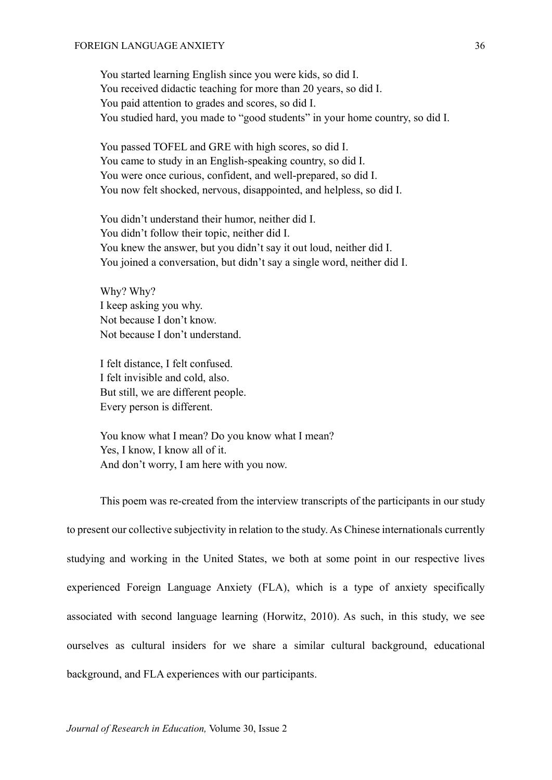You started learning English since you were kids, so did I. You received didactic teaching for more than 20 years, so did I. You paid attention to grades and scores, so did I. You studied hard, you made to "good students" in your home country, so did I.

You passed TOFEL and GRE with high scores, so did I. You came to study in an English-speaking country, so did I. You were once curious, confident, and well-prepared, so did I. You now felt shocked, nervous, disappointed, and helpless, so did I.

You didn't understand their humor, neither did I. You didn't follow their topic, neither did I. You knew the answer, but you didn't say it out loud, neither did I. You joined a conversation, but didn't say a single word, neither did I.

Why? Why? I keep asking you why. Not because I don't know. Not because I don't understand.

I felt distance, I felt confused. I felt invisible and cold, also. But still, we are different people. Every person is different.

You know what I mean? Do you know what I mean? Yes, I know, I know all of it. And don't worry, I am here with you now.

This poem was re-created from the interview transcripts of the participants in our study to present our collective subjectivity in relation to the study. As Chinese internationals currently studying and working in the United States, we both at some point in our respective lives experienced Foreign Language Anxiety (FLA), which is a type of anxiety specifically associated with second language learning (Horwitz, 2010). As such, in this study, we see ourselves as cultural insiders for we share a similar cultural background, educational background, and FLA experiences with our participants.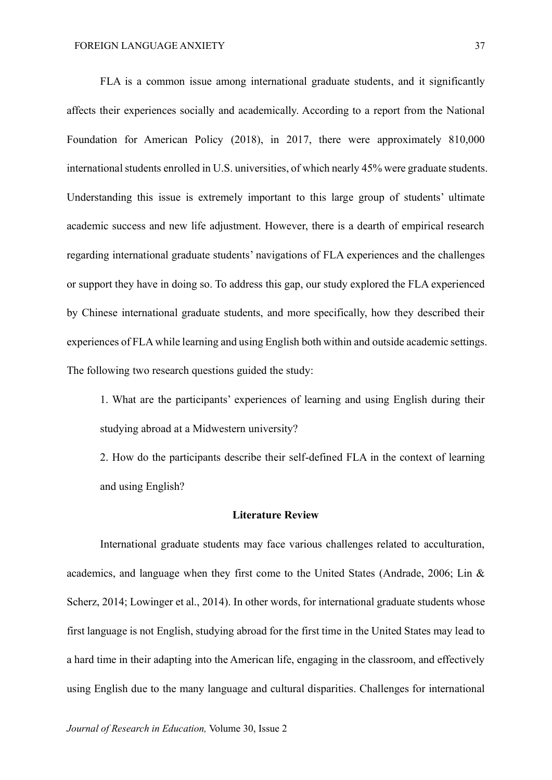FLA is a common issue among international graduate students, and it significantly affects their experiences socially and academically. According to a report from the National Foundation for American Policy (2018), in 2017, there were approximately 810,000 international students enrolled in U.S. universities, of which nearly 45% were graduate students. Understanding this issue is extremely important to this large group of students' ultimate academic success and new life adjustment. However, there is a dearth of empirical research regarding international graduate students' navigations of FLA experiences and the challenges or support they have in doing so. To address this gap, our study explored the FLA experienced by Chinese international graduate students, and more specifically, how they described their experiences of FLA while learning and using English both within and outside academic settings. The following two research questions guided the study:

1. What are the participants' experiences of learning and using English during their studying abroad at a Midwestern university?

2. How do the participants describe their self-defined FLA in the context of learning and using English?

#### **Literature Review**

International graduate students may face various challenges related to acculturation, academics, and language when they first come to the United States (Andrade, 2006; Lin & Scherz, 2014; Lowinger et al., 2014). In other words, for international graduate students whose first language is not English, studying abroad for the first time in the United States may lead to a hard time in their adapting into the American life, engaging in the classroom, and effectively using English due to the many language and cultural disparities. Challenges for international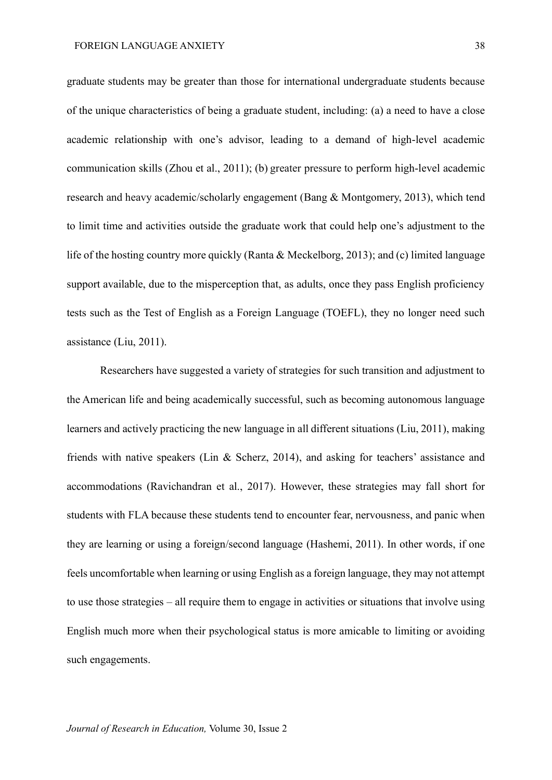graduate students may be greater than those for international undergraduate students because of the unique characteristics of being a graduate student, including: (a) a need to have a close academic relationship with one's advisor, leading to a demand of high-level academic communication skills (Zhou et al., 2011); (b) greater pressure to perform high-level academic research and heavy academic/scholarly engagement (Bang & Montgomery, 2013), which tend to limit time and activities outside the graduate work that could help one's adjustment to the life of the hosting country more quickly (Ranta & Meckelborg, 2013); and (c) limited language support available, due to the misperception that, as adults, once they pass English proficiency tests such as the Test of English as a Foreign Language (TOEFL), they no longer need such assistance (Liu, 2011).

Researchers have suggested a variety of strategies for such transition and adjustment to the American life and being academically successful, such as becoming autonomous language learners and actively practicing the new language in all different situations (Liu, 2011), making friends with native speakers (Lin & Scherz, 2014), and asking for teachers' assistance and accommodations (Ravichandran et al., 2017). However, these strategies may fall short for students with FLA because these students tend to encounter fear, nervousness, and panic when they are learning or using a foreign/second language (Hashemi, 2011). In other words, if one feels uncomfortable when learning or using English as a foreign language, they may not attempt to use those strategies – all require them to engage in activities or situations that involve using English much more when their psychological status is more amicable to limiting or avoiding such engagements.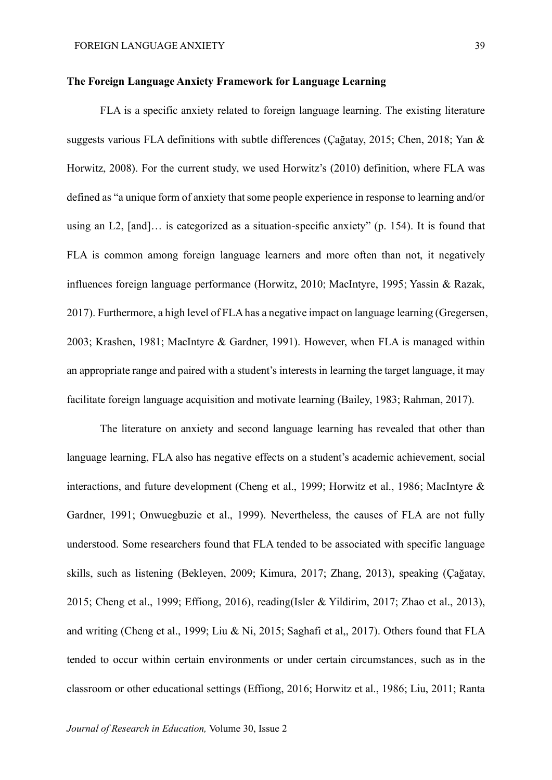#### **The Foreign Language Anxiety Framework for Language Learning**

FLA is a specific anxiety related to foreign language learning. The existing literature suggests various FLA definitions with subtle differences (Çağatay, 2015; Chen, 2018; Yan & Horwitz, 2008). For the current study, we used Horwitz's (2010) definition, where FLA was defined as "a unique form of anxiety that some people experience in response to learning and/or using an L2, [and]… is categorized as a situation-specific anxiety" (p. 154). It is found that FLA is common among foreign language learners and more often than not, it negatively influences foreign language performance (Horwitz, 2010; MacIntyre, 1995; Yassin & Razak, 2017). Furthermore, a high level of FLAhas a negative impact on language learning (Gregersen, 2003; Krashen, 1981; MacIntyre & Gardner, 1991). However, when FLA is managed within an appropriate range and paired with a student's interests in learning the target language, it may facilitate foreign language acquisition and motivate learning (Bailey, 1983; Rahman, 2017).

The literature on anxiety and second language learning has revealed that other than language learning, FLA also has negative effects on a student's academic achievement, social interactions, and future development (Cheng et al., 1999; Horwitz et al., 1986; MacIntyre & Gardner, 1991; Onwuegbuzie et al., 1999). Nevertheless, the causes of FLA are not fully understood. Some researchers found that FLA tended to be associated with specific language skills, such as listening (Bekleyen, 2009; Kimura, 2017; Zhang, 2013), speaking (Çağatay, 2015; Cheng et al., 1999; Effiong, 2016), reading(Isler & Yildirim, 2017; Zhao et al., 2013), and writing (Cheng et al., 1999; Liu & Ni, 2015; Saghafi et al,, 2017). Others found that FLA tended to occur within certain environments or under certain circumstances, such as in the classroom or other educational settings (Effiong, 2016; Horwitz et al., 1986; Liu, 2011; Ranta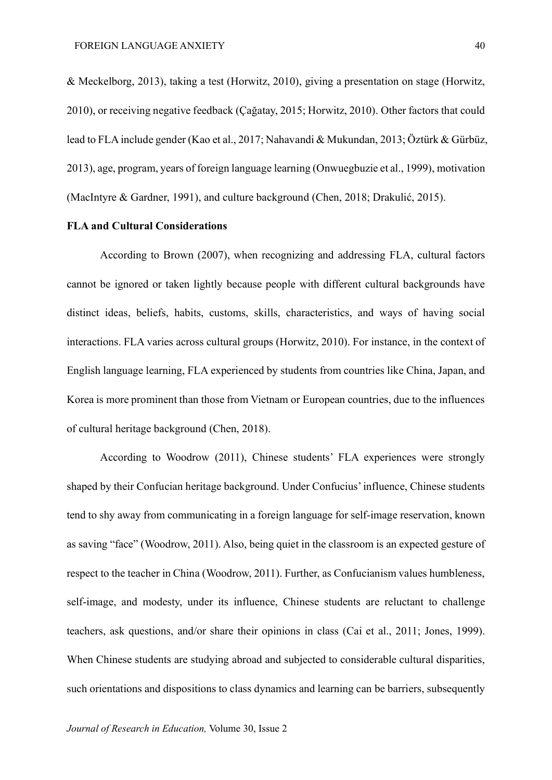& Meckelborg, 2013), taking a test (Horwitz, 2010), giving a presentation on stage (Horwitz, 2010), or receiving negative feedback (Çağatay, 2015; Horwitz, 2010). Other factors that could lead to FLA include gender (Kao et al., 2017; Nahavandi & Mukundan, 2013; Öztürk & Gürbüz, 2013), age, program, years of foreign language learning (Onwuegbuzie et al., 1999), motivation (MacIntyre & Gardner, 1991), and culture background (Chen, 2018; Drakulić, 2015).

#### **FLA and Cultural Considerations**

According to Brown (2007), when recognizing and addressing FLA, cultural factors cannot be ignored or taken lightly because people with different cultural backgrounds have distinct ideas, beliefs, habits, customs, skills, characteristics, and ways of having social interactions. FLA varies across cultural groups (Horwitz, 2010). For instance, in the context of English language learning, FLA experienced by students from countries like China, Japan, and Korea is more prominent than those from Vietnam or European countries, due to the influences of cultural heritage background (Chen, 2018).

According to Woodrow (2011), Chinese students' FLA experiences were strongly shaped by their Confucian heritage background. Under Confucius'influence, Chinese students tend to shy away from communicating in a foreign language for self-image reservation, known as saving "face" (Woodrow, 2011). Also, being quiet in the classroom is an expected gesture of respect to the teacher in China (Woodrow, 2011). Further, as Confucianism values humbleness, self-image, and modesty, under its influence, Chinese students are reluctant to challenge teachers, ask questions, and/or share their opinions in class (Cai et al., 2011; Jones, 1999). When Chinese students are studying abroad and subjected to considerable cultural disparities, such orientations and dispositions to class dynamics and learning can be barriers, subsequently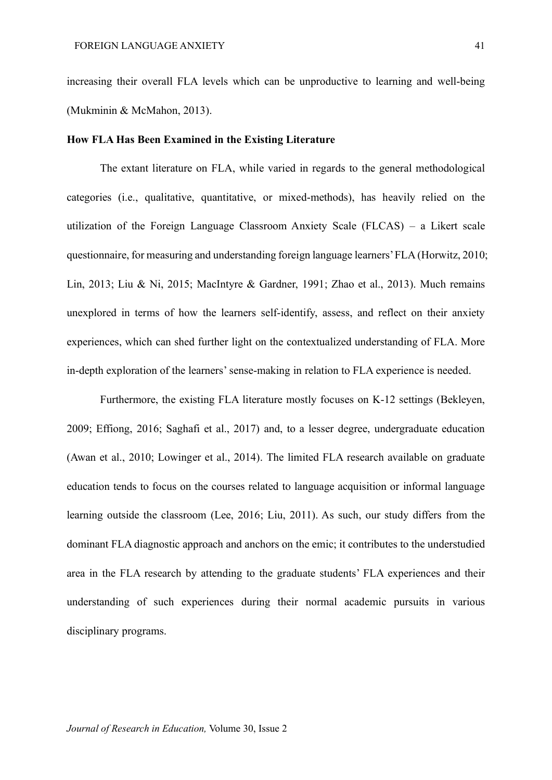increasing their overall FLA levels which can be unproductive to learning and well-being (Mukminin & McMahon, 2013).

#### **How FLA Has Been Examined in the Existing Literature**

The extant literature on FLA, while varied in regards to the general methodological categories (i.e., qualitative, quantitative, or mixed-methods), has heavily relied on the utilization of the Foreign Language Classroom Anxiety Scale (FLCAS) – a Likert scale questionnaire, for measuring and understanding foreign language learners' FLA (Horwitz, 2010; Lin, 2013; Liu & Ni, 2015; MacIntyre & Gardner, 1991; Zhao et al., 2013). Much remains unexplored in terms of how the learners self-identify, assess, and reflect on their anxiety experiences, which can shed further light on the contextualized understanding of FLA. More in-depth exploration of the learners' sense-making in relation to FLA experience is needed.

Furthermore, the existing FLA literature mostly focuses on K-12 settings (Bekleyen, 2009; Effiong, 2016; Saghafi et al., 2017) and, to a lesser degree, undergraduate education (Awan et al., 2010; Lowinger et al., 2014). The limited FLA research available on graduate education tends to focus on the courses related to language acquisition or informal language learning outside the classroom (Lee, 2016; Liu, 2011). As such, our study differs from the dominant FLA diagnostic approach and anchors on the emic; it contributes to the understudied area in the FLA research by attending to the graduate students' FLA experiences and their understanding of such experiences during their normal academic pursuits in various disciplinary programs.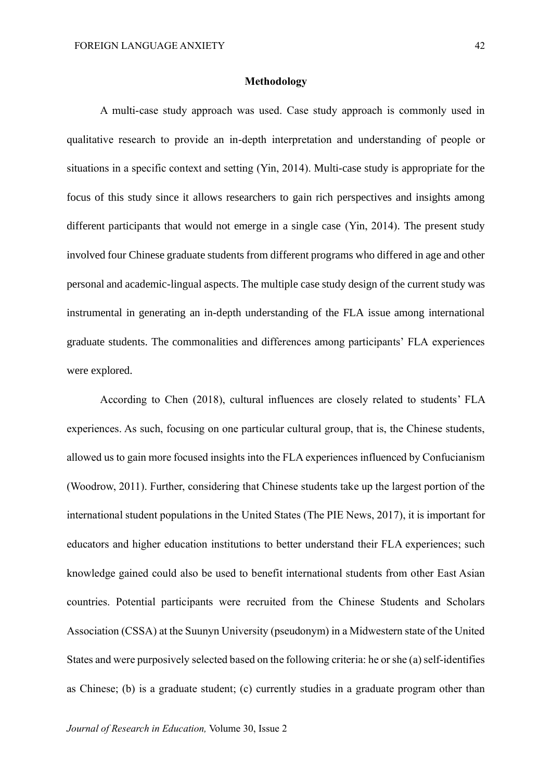#### **Methodology**

A multi-case study approach was used. Case study approach is commonly used in qualitative research to provide an in-depth interpretation and understanding of people or situations in a specific context and setting (Yin, 2014). Multi-case study is appropriate for the focus of this study since it allows researchers to gain rich perspectives and insights among different participants that would not emerge in a single case (Yin, 2014). The present study involved four Chinese graduate students from different programs who differed in age and other personal and academic-lingual aspects. The multiple case study design of the current study was instrumental in generating an in-depth understanding of the FLA issue among international graduate students. The commonalities and differences among participants' FLA experiences were explored.

According to Chen (2018), cultural influences are closely related to students' FLA experiences. As such, focusing on one particular cultural group, that is, the Chinese students, allowed us to gain more focused insights into the FLA experiences influenced by Confucianism (Woodrow, 2011). Further, considering that Chinese students take up the largest portion of the international student populations in the United States (The PIE News, 2017), it is important for educators and higher education institutions to better understand their FLA experiences; such knowledge gained could also be used to benefit international students from other East Asian countries. Potential participants were recruited from the Chinese Students and Scholars Association (CSSA) at the Suunyn University (pseudonym) in a Midwestern state of the United States and were purposively selected based on the following criteria: he or she (a) self-identifies as Chinese; (b) is a graduate student; (c) currently studies in a graduate program other than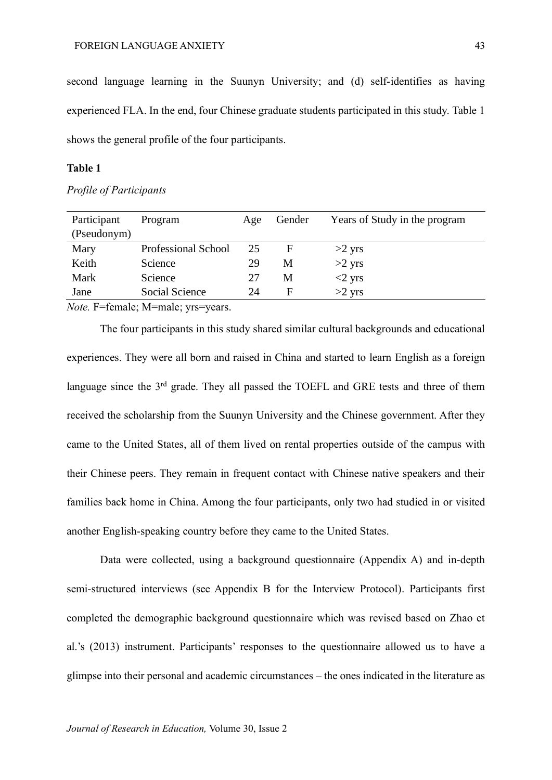second language learning in the Suunyn University; and (d) self-identifies as having experienced FLA. In the end, four Chinese graduate students participated in this study. Table 1 shows the general profile of the four participants.

#### **Table 1**

#### *Profile of Participants*

*Note.* F=female; M=male; yrs=years.

The four participants in this study shared similar cultural backgrounds and educational experiences. They were all born and raised in China and started to learn English as a foreign language since the 3<sup>rd</sup> grade. They all passed the TOEFL and GRE tests and three of them received the scholarship from the Suunyn University and the Chinese government. After they came to the United States, all of them lived on rental properties outside of the campus with their Chinese peers. They remain in frequent contact with Chinese native speakers and their families back home in China. Among the four participants, only two had studied in or visited another English-speaking country before they came to the United States.

Data were collected, using a background questionnaire (Appendix A) and in-depth semi-structured interviews (see Appendix B for the Interview Protocol). Participants first completed the demographic background questionnaire which was revised based on Zhao et al.'s (2013) instrument. Participants' responses to the questionnaire allowed us to have a glimpse into their personal and academic circumstances – the ones indicated in the literature as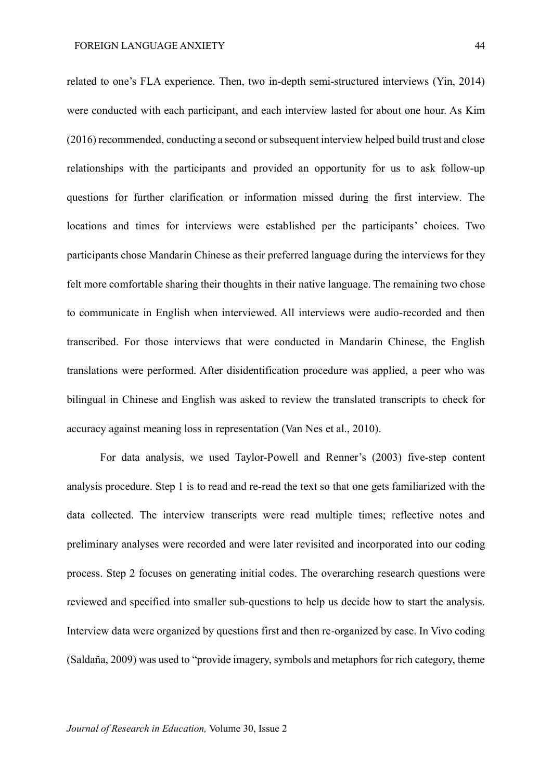related to one's FLA experience. Then, two in-depth semi-structured interviews (Yin, 2014) were conducted with each participant, and each interview lasted for about one hour. As Kim (2016) recommended, conducting a second or subsequent interview helped build trust and close relationships with the participants and provided an opportunity for us to ask follow-up questions for further clarification or information missed during the first interview. The locations and times for interviews were established per the participants' choices. Two participants chose Mandarin Chinese as their preferred language during the interviews for they felt more comfortable sharing their thoughts in their native language. The remaining two chose to communicate in English when interviewed. All interviews were audio-recorded and then transcribed. For those interviews that were conducted in Mandarin Chinese, the English translations were performed. After disidentification procedure was applied, a peer who was bilingual in Chinese and English was asked to review the translated transcripts to check for accuracy against meaning loss in representation (Van Nes et al., 2010).

For data analysis, we used Taylor-Powell and Renner's (2003) five-step content analysis procedure. Step 1 is to read and re-read the text so that one gets familiarized with the data collected. The interview transcripts were read multiple times; reflective notes and preliminary analyses were recorded and were later revisited and incorporated into our coding process. Step 2 focuses on generating initial codes. The overarching research questions were reviewed and specified into smaller sub-questions to help us decide how to start the analysis. Interview data were organized by questions first and then re-organized by case. In Vivo coding (Saldaña, 2009) was used to "provide imagery, symbols and metaphors for rich category, theme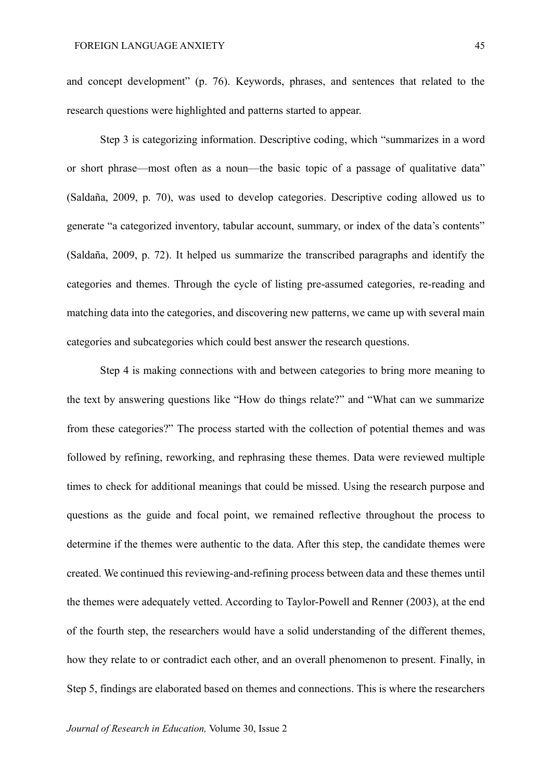and concept development" (p. 76). Keywords, phrases, and sentences that related to the research questions were highlighted and patterns started to appear.

Step 3 is categorizing information. Descriptive coding, which "summarizes in a word or short phrase—most often as a noun—the basic topic of a passage of qualitative data" (Saldaña, 2009, p. 70), was used to develop categories. Descriptive coding allowed us to generate "a categorized inventory, tabular account, summary, or index of the data's contents" (Saldaña, 2009, p. 72). It helped us summarize the transcribed paragraphs and identify the categories and themes. Through the cycle of listing pre-assumed categories, re-reading and matching data into the categories, and discovering new patterns, we came up with several main categories and subcategories which could best answer the research questions.

Step 4 is making connections with and between categories to bring more meaning to the text by answering questions like "How do things relate?" and "What can we summarize from these categories?" The process started with the collection of potential themes and was followed by refining, reworking, and rephrasing these themes. Data were reviewed multiple times to check for additional meanings that could be missed. Using the research purpose and questions as the guide and focal point, we remained reflective throughout the process to determine if the themes were authentic to the data. After this step, the candidate themes were created. We continued this reviewing-and-refining process between data and these themes until the themes were adequately vetted. According to Taylor-Powell and Renner (2003), at the end of the fourth step, the researchers would have a solid understanding of the different themes, how they relate to or contradict each other, and an overall phenomenon to present. Finally, in Step 5, findings are elaborated based on themes and connections. This is where the researchers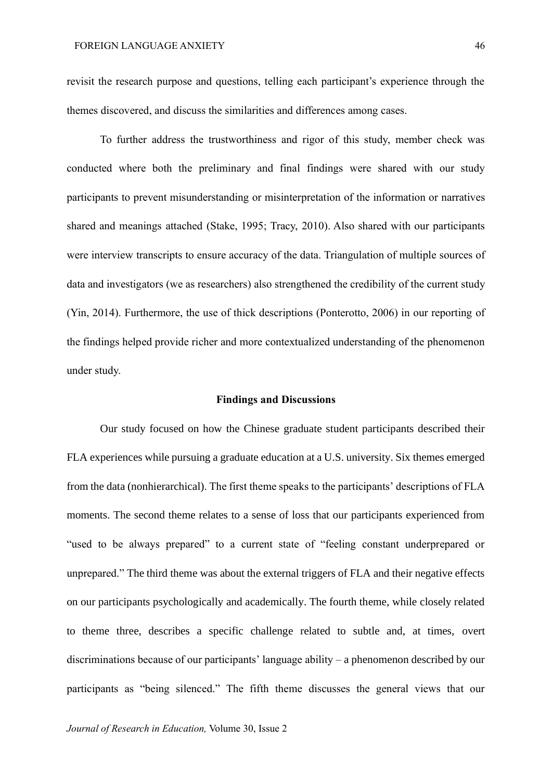revisit the research purpose and questions, telling each participant's experience through the themes discovered, and discuss the similarities and differences among cases.

To further address the trustworthiness and rigor of this study, member check was conducted where both the preliminary and final findings were shared with our study participants to prevent misunderstanding or misinterpretation of the information or narratives shared and meanings attached (Stake, 1995; Tracy, 2010). Also shared with our participants were interview transcripts to ensure accuracy of the data. Triangulation of multiple sources of data and investigators (we as researchers) also strengthened the credibility of the current study (Yin, 2014). Furthermore, the use of thick descriptions (Ponterotto, 2006) in our reporting of the findings helped provide richer and more contextualized understanding of the phenomenon under study.

#### **Findings and Discussions**

Our study focused on how the Chinese graduate student participants described their FLA experiences while pursuing a graduate education at a U.S. university. Six themes emerged from the data (nonhierarchical). The first theme speaks to the participants' descriptions of FLA moments. The second theme relates to a sense of loss that our participants experienced from "used to be always prepared" to a current state of "feeling constant underprepared or unprepared." The third theme was about the external triggers of FLA and their negative effects on our participants psychologically and academically. The fourth theme, while closely related to theme three, describes a specific challenge related to subtle and, at times, overt discriminations because of our participants' language ability – a phenomenon described by our participants as "being silenced." The fifth theme discusses the general views that our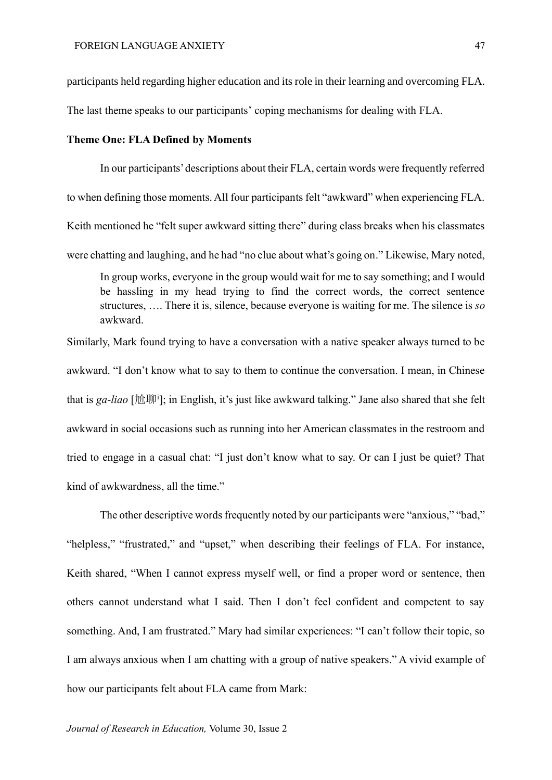participants held regarding higher education and its role in their learning and overcoming FLA.

The last theme speaks to our participants' coping mechanisms for dealing with FLA.

#### **Theme One: FLA Defined by Moments**

In our participants' descriptions about their FLA, certain words were frequently referred to when defining those moments. All four participants felt "awkward" when experiencing FLA. Keith mentioned he "felt super awkward sitting there" during class breaks when his classmates were chatting and laughing, and he had "no clue about what's going on." Likewise, Mary noted,

In group works, everyone in the group would wait for me to say something; and I would be hassling in my head trying to find the correct words, the correct sentence structures, …. There it is, silence, because everyone is waiting for me. The silence is *so* awkward.

Similarly, Mark found trying to have a conversation with a native speaker always turned to be awkward. "I don't know what to say to them to continue the conversation. I mean, in Chinese that is *ga-liao* [尬聊<sup>i</sup> ]; in English, it's just like awkward talking." Jane also shared that she felt awkward in social occasions such as running into her American classmates in the restroom and tried to engage in a casual chat: "I just don't know what to say. Or can I just be quiet? That kind of awkwardness, all the time."

The other descriptive words frequently noted by our participants were "anxious," "bad," "helpless," "frustrated," and "upset," when describing their feelings of FLA. For instance, Keith shared, "When I cannot express myself well, or find a proper word or sentence, then others cannot understand what I said. Then I don't feel confident and competent to say something. And, I am frustrated." Mary had similar experiences: "I can't follow their topic, so I am always anxious when I am chatting with a group of native speakers." A vivid example of how our participants felt about FLA came from Mark: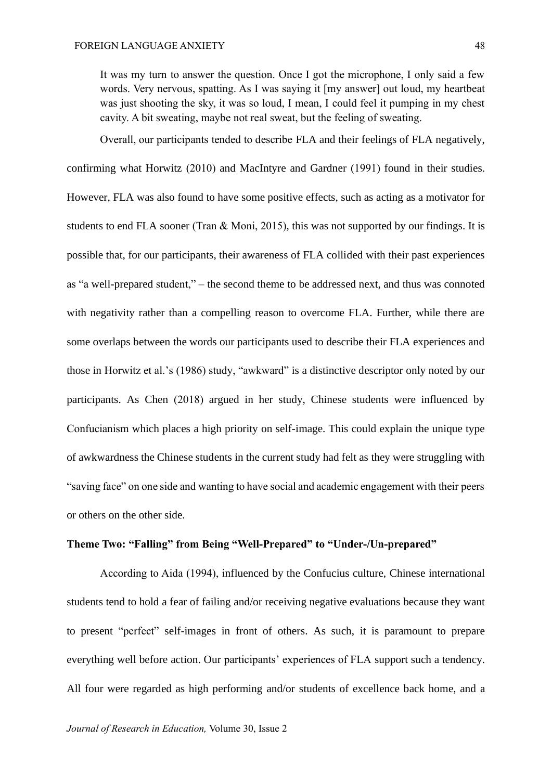It was my turn to answer the question. Once I got the microphone, I only said a few words. Very nervous, spatting. As I was saying it [my answer] out loud, my heartbeat was just shooting the sky, it was so loud, I mean, I could feel it pumping in my chest cavity. A bit sweating, maybe not real sweat, but the feeling of sweating.

Overall, our participants tended to describe FLA and their feelings of FLA negatively, confirming what Horwitz (2010) and MacIntyre and Gardner (1991) found in their studies. However, FLA was also found to have some positive effects, such as acting as a motivator for students to end FLA sooner (Tran & Moni, 2015), this was not supported by our findings. It is possible that, for our participants, their awareness of FLA collided with their past experiences as "a well-prepared student," – the second theme to be addressed next, and thus was connoted with negativity rather than a compelling reason to overcome FLA. Further, while there are some overlaps between the words our participants used to describe their FLA experiences and those in Horwitz et al.'s (1986) study, "awkward" is a distinctive descriptor only noted by our participants. As Chen (2018) argued in her study, Chinese students were influenced by Confucianism which places a high priority on self-image. This could explain the unique type of awkwardness the Chinese students in the current study had felt as they were struggling with "saving face" on one side and wanting to have social and academic engagement with their peers or others on the other side.

#### **Theme Two: "Falling" from Being "Well-Prepared" to "Under-/Un-prepared"**

According to Aida (1994), influenced by the Confucius culture, Chinese international students tend to hold a fear of failing and/or receiving negative evaluations because they want to present "perfect" self-images in front of others. As such, it is paramount to prepare everything well before action. Our participants' experiences of FLA support such a tendency. All four were regarded as high performing and/or students of excellence back home, and a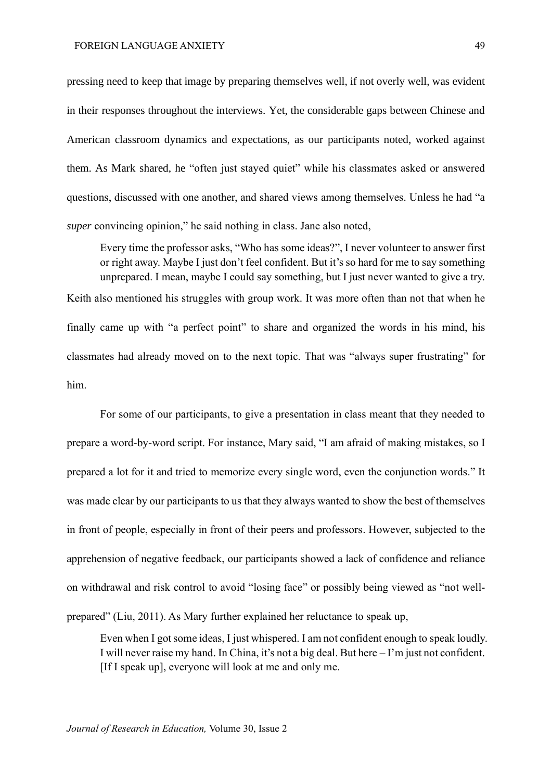pressing need to keep that image by preparing themselves well, if not overly well, was evident in their responses throughout the interviews. Yet, the considerable gaps between Chinese and American classroom dynamics and expectations, as our participants noted, worked against them. As Mark shared, he "often just stayed quiet" while his classmates asked or answered questions, discussed with one another, and shared views among themselves. Unless he had "a *super* convincing opinion," he said nothing in class. Jane also noted,

Every time the professor asks, "Who has some ideas?", I never volunteer to answer first or right away. Maybe I just don't feel confident. But it's so hard for me to say something unprepared. I mean, maybe I could say something, but I just never wanted to give a try. Keith also mentioned his struggles with group work. It was more often than not that when he

finally came up with "a perfect point" to share and organized the words in his mind, his classmates had already moved on to the next topic. That was "always super frustrating" for him.

For some of our participants, to give a presentation in class meant that they needed to prepare a word-by-word script. For instance, Mary said, "I am afraid of making mistakes, so I prepared a lot for it and tried to memorize every single word, even the conjunction words." It was made clear by our participants to us that they always wanted to show the best of themselves in front of people, especially in front of their peers and professors. However, subjected to the apprehension of negative feedback, our participants showed a lack of confidence and reliance on withdrawal and risk control to avoid "losing face" or possibly being viewed as "not wellprepared" (Liu, 2011). As Mary further explained her reluctance to speak up,

Even when I got some ideas, I just whispered. I am not confident enough to speak loudly. I will never raise my hand. In China, it's not a big deal. But here – I'm just not confident. [If I speak up], everyone will look at me and only me.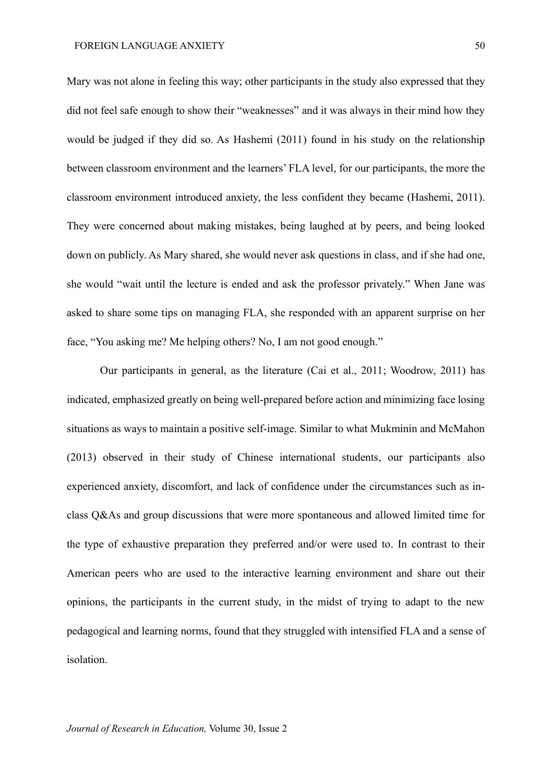Mary was not alone in feeling this way; other participants in the study also expressed that they did not feel safe enough to show their "weaknesses" and it was always in their mind how they would be judged if they did so. As Hashemi (2011) found in his study on the relationship between classroom environment and the learners' FLA level, for our participants, the more the classroom environment introduced anxiety, the less confident they became (Hashemi, 2011). They were concerned about making mistakes, being laughed at by peers, and being looked down on publicly. As Mary shared, she would never ask questions in class, and if she had one, she would "wait until the lecture is ended and ask the professor privately." When Jane was asked to share some tips on managing FLA, she responded with an apparent surprise on her face, "You asking me? Me helping others? No, I am not good enough."

Our participants in general, as the literature (Cai et al., 2011; Woodrow, 2011) has indicated, emphasized greatly on being well-prepared before action and minimizing face losing situations as ways to maintain a positive self-image. Similar to what Mukminin and McMahon (2013) observed in their study of Chinese international students, our participants also experienced anxiety, discomfort, and lack of confidence under the circumstances such as inclass Q&As and group discussions that were more spontaneous and allowed limited time for the type of exhaustive preparation they preferred and/or were used to. In contrast to their American peers who are used to the interactive learning environment and share out their opinions, the participants in the current study, in the midst of trying to adapt to the new pedagogical and learning norms, found that they struggled with intensified FLA and a sense of isolation.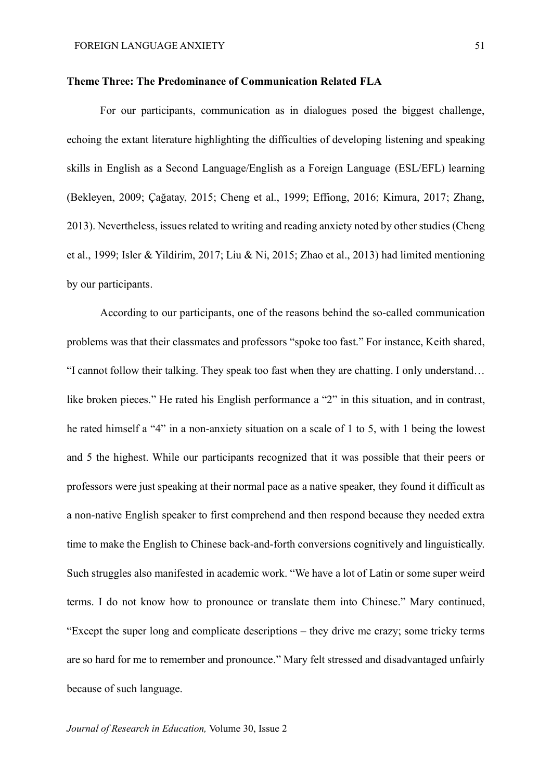#### **Theme Three: The Predominance of Communication Related FLA**

For our participants, communication as in dialogues posed the biggest challenge, echoing the extant literature highlighting the difficulties of developing listening and speaking skills in English as a Second Language/English as a Foreign Language (ESL/EFL) learning (Bekleyen, 2009; Çağatay, 2015; Cheng et al., 1999; Effiong, 2016; Kimura, 2017; Zhang, 2013). Nevertheless, issues related to writing and reading anxiety noted by other studies (Cheng et al., 1999; Isler & Yildirim, 2017; Liu & Ni, 2015; Zhao et al., 2013) had limited mentioning by our participants.

According to our participants, one of the reasons behind the so-called communication problems was that their classmates and professors "spoke too fast." For instance, Keith shared, "I cannot follow their talking. They speak too fast when they are chatting. I only understand… like broken pieces." He rated his English performance a "2" in this situation, and in contrast, he rated himself a "4" in a non-anxiety situation on a scale of 1 to 5, with 1 being the lowest and 5 the highest. While our participants recognized that it was possible that their peers or professors were just speaking at their normal pace as a native speaker, they found it difficult as a non-native English speaker to first comprehend and then respond because they needed extra time to make the English to Chinese back-and-forth conversions cognitively and linguistically. Such struggles also manifested in academic work. "We have a lot of Latin or some super weird terms. I do not know how to pronounce or translate them into Chinese." Mary continued, "Except the super long and complicate descriptions – they drive me crazy; some tricky terms are so hard for me to remember and pronounce." Mary felt stressed and disadvantaged unfairly because of such language.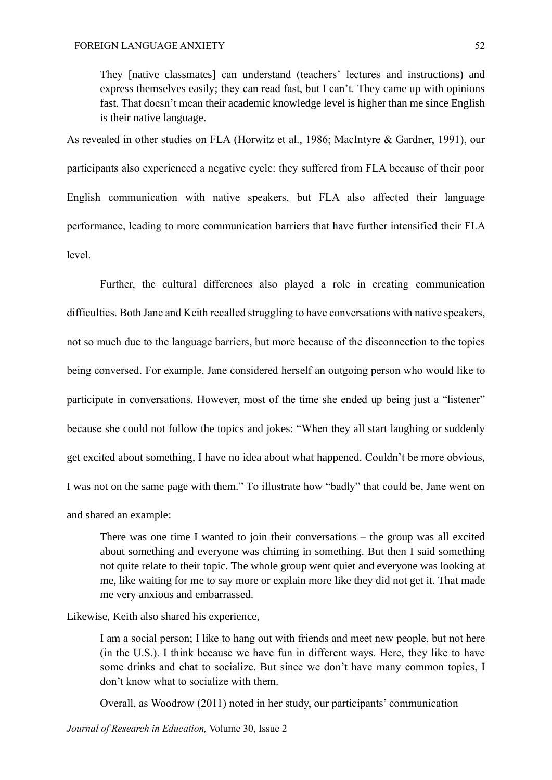They [native classmates] can understand (teachers' lectures and instructions) and express themselves easily; they can read fast, but I can't. They came up with opinions fast. That doesn't mean their academic knowledge level is higher than me since English is their native language.

As revealed in other studies on FLA (Horwitz et al., 1986; MacIntyre & Gardner, 1991), our participants also experienced a negative cycle: they suffered from FLA because of their poor English communication with native speakers, but FLA also affected their language performance, leading to more communication barriers that have further intensified their FLA level.

Further, the cultural differences also played a role in creating communication difficulties. Both Jane and Keith recalled struggling to have conversations with native speakers, not so much due to the language barriers, but more because of the disconnection to the topics being conversed. For example, Jane considered herself an outgoing person who would like to participate in conversations. However, most of the time she ended up being just a "listener" because she could not follow the topics and jokes: "When they all start laughing or suddenly get excited about something, I have no idea about what happened. Couldn't be more obvious, I was not on the same page with them." To illustrate how "badly" that could be, Jane went on and shared an example:

There was one time I wanted to join their conversations – the group was all excited about something and everyone was chiming in something. But then I said something not quite relate to their topic. The whole group went quiet and everyone was looking at me, like waiting for me to say more or explain more like they did not get it. That made me very anxious and embarrassed.

Likewise, Keith also shared his experience,

I am a social person; I like to hang out with friends and meet new people, but not here (in the U.S.). I think because we have fun in different ways. Here, they like to have some drinks and chat to socialize. But since we don't have many common topics, I don't know what to socialize with them.

Overall, as Woodrow (2011) noted in her study, our participants' communication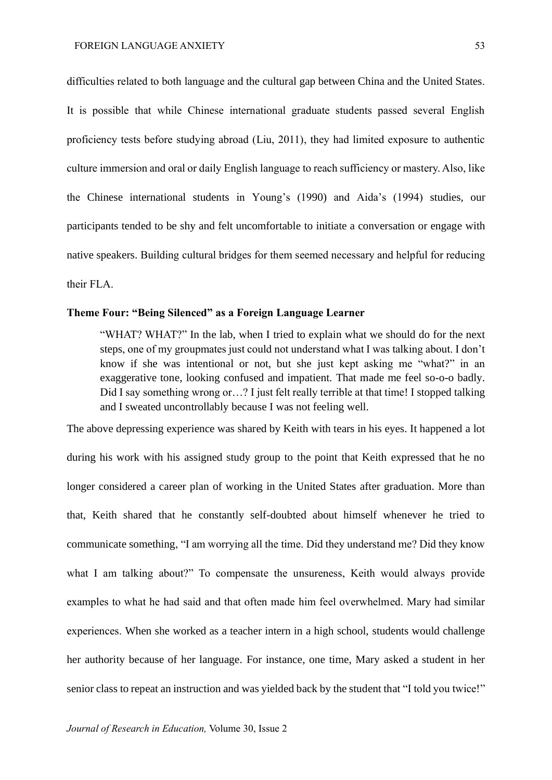difficulties related to both language and the cultural gap between China and the United States. It is possible that while Chinese international graduate students passed several English proficiency tests before studying abroad (Liu, 2011), they had limited exposure to authentic culture immersion and oral or daily English language to reach sufficiency or mastery. Also, like the Chinese international students in Young's (1990) and Aida's (1994) studies, our participants tended to be shy and felt uncomfortable to initiate a conversation or engage with native speakers. Building cultural bridges for them seemed necessary and helpful for reducing their FLA.

#### **Theme Four: "Being Silenced" as a Foreign Language Learner**

"WHAT? WHAT?" In the lab, when I tried to explain what we should do for the next steps, one of my groupmates just could not understand what I was talking about. I don't know if she was intentional or not, but she just kept asking me "what?" in an exaggerative tone, looking confused and impatient. That made me feel so-o-o badly. Did I say something wrong or…? I just felt really terrible at that time! I stopped talking and I sweated uncontrollably because I was not feeling well.

The above depressing experience was shared by Keith with tears in his eyes. It happened a lot during his work with his assigned study group to the point that Keith expressed that he no longer considered a career plan of working in the United States after graduation. More than that, Keith shared that he constantly self-doubted about himself whenever he tried to communicate something, "I am worrying all the time. Did they understand me? Did they know what I am talking about?" To compensate the unsureness, Keith would always provide examples to what he had said and that often made him feel overwhelmed. Mary had similar experiences. When she worked as a teacher intern in a high school, students would challenge her authority because of her language. For instance, one time, Mary asked a student in her senior class to repeat an instruction and was yielded back by the student that "I told you twice!"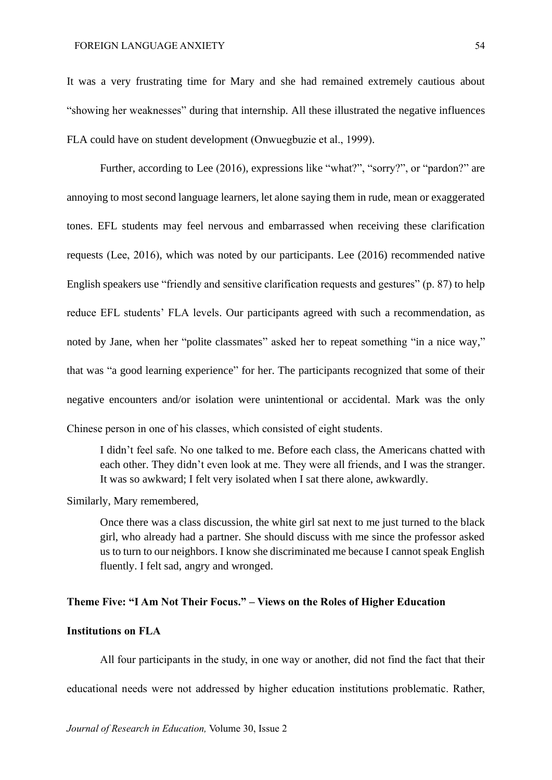It was a very frustrating time for Mary and she had remained extremely cautious about "showing her weaknesses" during that internship. All these illustrated the negative influences FLA could have on student development (Onwuegbuzie et al., 1999).

Further, according to Lee (2016), expressions like "what?", "sorry?", or "pardon?" are annoying to most second language learners, let alone saying them in rude, mean or exaggerated tones. EFL students may feel nervous and embarrassed when receiving these clarification requests (Lee, 2016), which was noted by our participants. Lee (2016) recommended native English speakers use "friendly and sensitive clarification requests and gestures" (p. 87) to help reduce EFL students' FLA levels. Our participants agreed with such a recommendation, as noted by Jane, when her "polite classmates" asked her to repeat something "in a nice way," that was "a good learning experience" for her. The participants recognized that some of their negative encounters and/or isolation were unintentional or accidental. Mark was the only Chinese person in one of his classes, which consisted of eight students.

I didn't feel safe. No one talked to me. Before each class, the Americans chatted with each other. They didn't even look at me. They were all friends, and I was the stranger. It was so awkward; I felt very isolated when I sat there alone, awkwardly.

Similarly, Mary remembered,

Once there was a class discussion, the white girl sat next to me just turned to the black girl, who already had a partner. She should discuss with me since the professor asked us to turn to our neighbors. I know she discriminated me because I cannot speak English fluently. I felt sad, angry and wronged.

#### **Theme Five: "I Am Not Their Focus." – Views on the Roles of Higher Education**

#### **Institutions on FLA**

All four participants in the study, in one way or another, did not find the fact that their

educational needs were not addressed by higher education institutions problematic. Rather,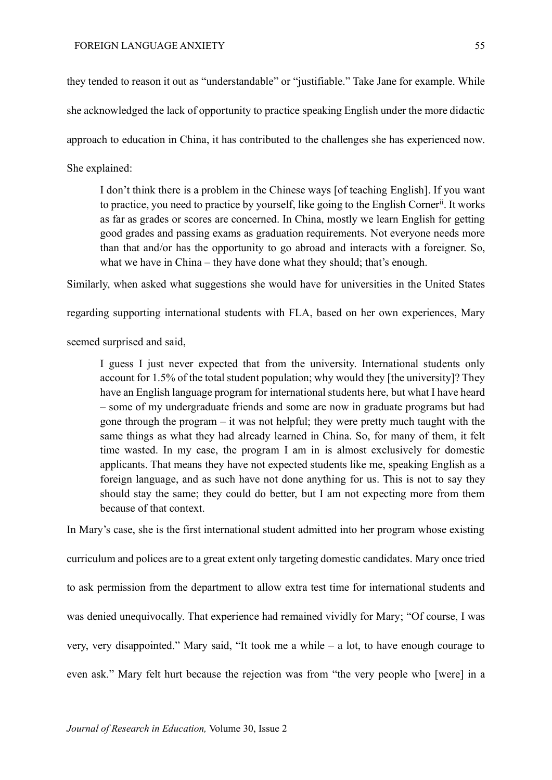they tended to reason it out as "understandable" or "justifiable." Take Jane for example. While she acknowledged the lack of opportunity to practice speaking English under the more didactic approach to education in China, it has contributed to the challenges she has experienced now. She explained:

I don't think there is a problem in the Chinese ways [of teaching English]. If you want to practice, you need to practice by yourself, like going to the English Corner<sup>ii</sup>. It works as far as grades or scores are concerned. In China, mostly we learn English for getting good grades and passing exams as graduation requirements. Not everyone needs more than that and/or has the opportunity to go abroad and interacts with a foreigner. So, what we have in China – they have done what they should; that's enough.

Similarly, when asked what suggestions she would have for universities in the United States

regarding supporting international students with FLA, based on her own experiences, Mary

seemed surprised and said,

I guess I just never expected that from the university. International students only account for 1.5% of the total student population; why would they [the university]? They have an English language program for international students here, but what I have heard – some of my undergraduate friends and some are now in graduate programs but had gone through the program – it was not helpful; they were pretty much taught with the same things as what they had already learned in China. So, for many of them, it felt time wasted. In my case, the program I am in is almost exclusively for domestic applicants. That means they have not expected students like me, speaking English as a foreign language, and as such have not done anything for us. This is not to say they should stay the same; they could do better, but I am not expecting more from them because of that context.

In Mary's case, she is the first international student admitted into her program whose existing curriculum and polices are to a great extent only targeting domestic candidates. Mary once tried to ask permission from the department to allow extra test time for international students and was denied unequivocally. That experience had remained vividly for Mary; "Of course, I was very, very disappointed." Mary said, "It took me a while – a lot, to have enough courage to even ask." Mary felt hurt because the rejection was from "the very people who [were] in a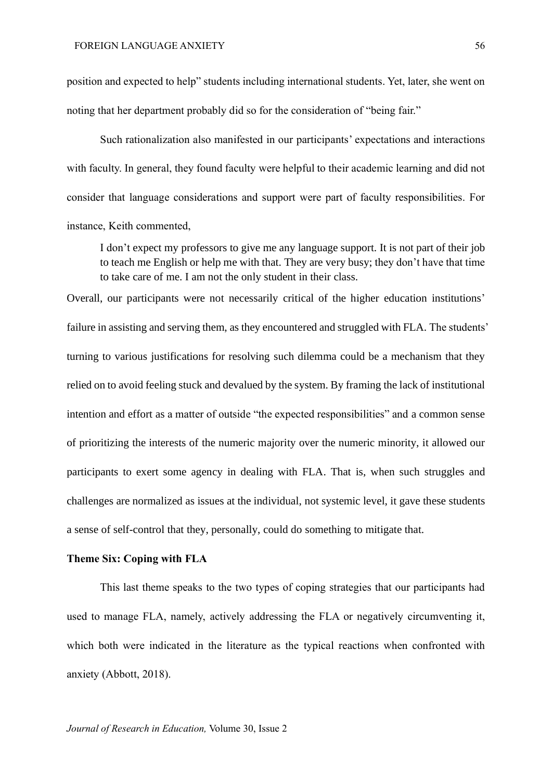position and expected to help" students including international students. Yet, later, she went on noting that her department probably did so for the consideration of "being fair."

Such rationalization also manifested in our participants' expectations and interactions with faculty. In general, they found faculty were helpful to their academic learning and did not consider that language considerations and support were part of faculty responsibilities. For instance, Keith commented,

I don't expect my professors to give me any language support. It is not part of their job to teach me English or help me with that. They are very busy; they don't have that time to take care of me. I am not the only student in their class.

Overall, our participants were not necessarily critical of the higher education institutions' failure in assisting and serving them, as they encountered and struggled with FLA. The students' turning to various justifications for resolving such dilemma could be a mechanism that they relied on to avoid feeling stuck and devalued by the system. By framing the lack of institutional intention and effort as a matter of outside "the expected responsibilities" and a common sense of prioritizing the interests of the numeric majority over the numeric minority, it allowed our participants to exert some agency in dealing with FLA. That is, when such struggles and challenges are normalized as issues at the individual, not systemic level, it gave these students a sense of self-control that they, personally, could do something to mitigate that.

#### **Theme Six: Coping with FLA**

This last theme speaks to the two types of coping strategies that our participants had used to manage FLA, namely, actively addressing the FLA or negatively circumventing it, which both were indicated in the literature as the typical reactions when confronted with anxiety (Abbott, 2018).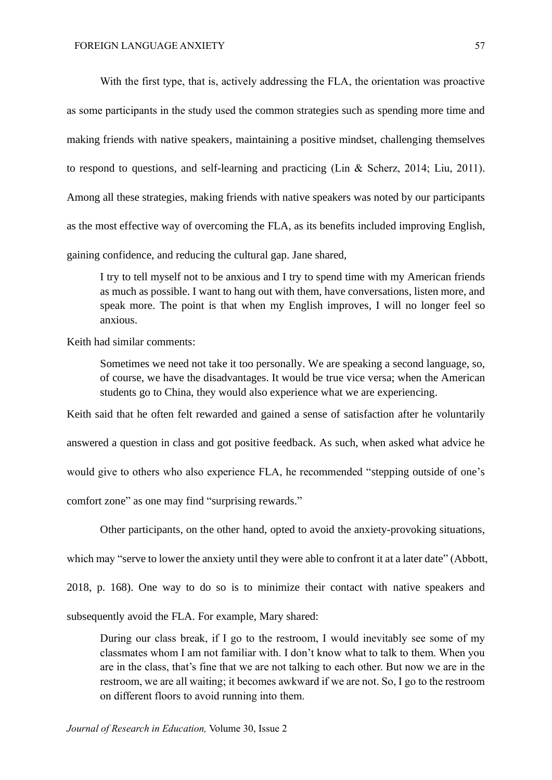With the first type, that is, actively addressing the FLA, the orientation was proactive as some participants in the study used the common strategies such as spending more time and making friends with native speakers, maintaining a positive mindset, challenging themselves to respond to questions, and self-learning and practicing (Lin & Scherz, 2014; Liu, 2011). Among all these strategies, making friends with native speakers was noted by our participants as the most effective way of overcoming the FLA, as its benefits included improving English, gaining confidence, and reducing the cultural gap. Jane shared,

I try to tell myself not to be anxious and I try to spend time with my American friends as much as possible. I want to hang out with them, have conversations, listen more, and speak more. The point is that when my English improves, I will no longer feel so anxious.

Keith had similar comments:

Sometimes we need not take it too personally. We are speaking a second language, so, of course, we have the disadvantages. It would be true vice versa; when the American students go to China, they would also experience what we are experiencing.

Keith said that he often felt rewarded and gained a sense of satisfaction after he voluntarily

answered a question in class and got positive feedback. As such, when asked what advice he

would give to others who also experience FLA, he recommended "stepping outside of one's

comfort zone" as one may find "surprising rewards."

Other participants, on the other hand, opted to avoid the anxiety-provoking situations,

which may "serve to lower the anxiety until they were able to confront it at a later date" (Abbott,

2018, p. 168). One way to do so is to minimize their contact with native speakers and

subsequently avoid the FLA. For example, Mary shared:

During our class break, if I go to the restroom, I would inevitably see some of my classmates whom I am not familiar with. I don't know what to talk to them. When you are in the class, that's fine that we are not talking to each other. But now we are in the restroom, we are all waiting; it becomes awkward if we are not. So, I go to the restroom on different floors to avoid running into them.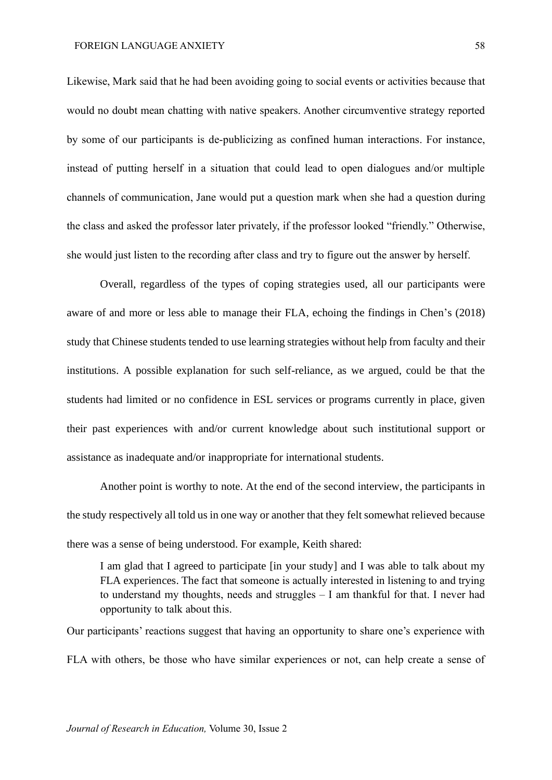Likewise, Mark said that he had been avoiding going to social events or activities because that would no doubt mean chatting with native speakers. Another circumventive strategy reported by some of our participants is de-publicizing as confined human interactions. For instance, instead of putting herself in a situation that could lead to open dialogues and/or multiple channels of communication, Jane would put a question mark when she had a question during the class and asked the professor later privately, if the professor looked "friendly." Otherwise, she would just listen to the recording after class and try to figure out the answer by herself.

Overall, regardless of the types of coping strategies used, all our participants were aware of and more or less able to manage their FLA, echoing the findings in Chen's (2018) study that Chinese students tended to use learning strategies without help from faculty and their institutions. A possible explanation for such self-reliance, as we argued, could be that the students had limited or no confidence in ESL services or programs currently in place, given their past experiences with and/or current knowledge about such institutional support or assistance as inadequate and/or inappropriate for international students.

Another point is worthy to note. At the end of the second interview, the participants in the study respectively all told us in one way or another that they felt somewhat relieved because there was a sense of being understood. For example, Keith shared:

I am glad that I agreed to participate [in your study] and I was able to talk about my FLA experiences. The fact that someone is actually interested in listening to and trying to understand my thoughts, needs and struggles – I am thankful for that. I never had opportunity to talk about this.

Our participants' reactions suggest that having an opportunity to share one's experience with FLA with others, be those who have similar experiences or not, can help create a sense of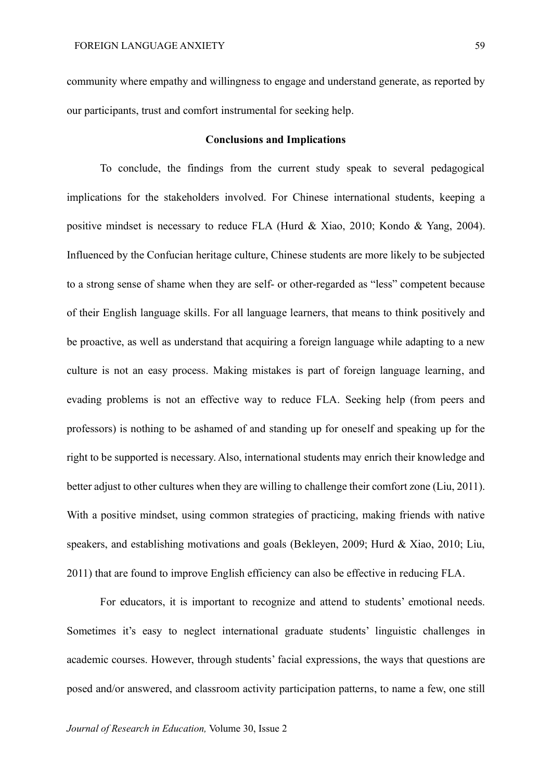community where empathy and willingness to engage and understand generate, as reported by our participants, trust and comfort instrumental for seeking help.

#### **Conclusions and Implications**

To conclude, the findings from the current study speak to several pedagogical implications for the stakeholders involved. For Chinese international students, keeping a positive mindset is necessary to reduce FLA (Hurd & Xiao, 2010; Kondo & Yang, 2004). Influenced by the Confucian heritage culture, Chinese students are more likely to be subjected to a strong sense of shame when they are self- or other-regarded as "less" competent because of their English language skills. For all language learners, that means to think positively and be proactive, as well as understand that acquiring a foreign language while adapting to a new culture is not an easy process. Making mistakes is part of foreign language learning, and evading problems is not an effective way to reduce FLA. Seeking help (from peers and professors) is nothing to be ashamed of and standing up for oneself and speaking up for the right to be supported is necessary. Also, international students may enrich their knowledge and better adjust to other cultures when they are willing to challenge their comfort zone (Liu, 2011). With a positive mindset, using common strategies of practicing, making friends with native speakers, and establishing motivations and goals (Bekleyen, 2009; Hurd & Xiao, 2010; Liu, 2011) that are found to improve English efficiency can also be effective in reducing FLA.

For educators, it is important to recognize and attend to students' emotional needs. Sometimes it's easy to neglect international graduate students' linguistic challenges in academic courses. However, through students' facial expressions, the ways that questions are posed and/or answered, and classroom activity participation patterns, to name a few, one still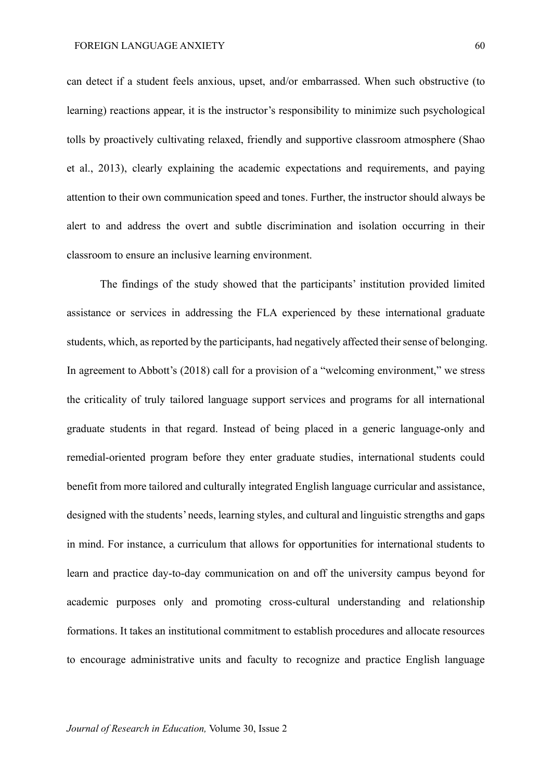can detect if a student feels anxious, upset, and/or embarrassed. When such obstructive (to learning) reactions appear, it is the instructor's responsibility to minimize such psychological tolls by proactively cultivating relaxed, friendly and supportive classroom atmosphere (Shao et al., 2013), clearly explaining the academic expectations and requirements, and paying attention to their own communication speed and tones. Further, the instructor should always be alert to and address the overt and subtle discrimination and isolation occurring in their classroom to ensure an inclusive learning environment.

The findings of the study showed that the participants' institution provided limited assistance or services in addressing the FLA experienced by these international graduate students, which, as reported by the participants, had negatively affected their sense of belonging. In agreement to Abbott's (2018) call for a provision of a "welcoming environment," we stress the criticality of truly tailored language support services and programs for all international graduate students in that regard. Instead of being placed in a generic language-only and remedial-oriented program before they enter graduate studies, international students could benefit from more tailored and culturally integrated English language curricular and assistance, designed with the students' needs, learning styles, and cultural and linguistic strengths and gaps in mind. For instance, a curriculum that allows for opportunities for international students to learn and practice day-to-day communication on and off the university campus beyond for academic purposes only and promoting cross-cultural understanding and relationship formations. It takes an institutional commitment to establish procedures and allocate resources to encourage administrative units and faculty to recognize and practice English language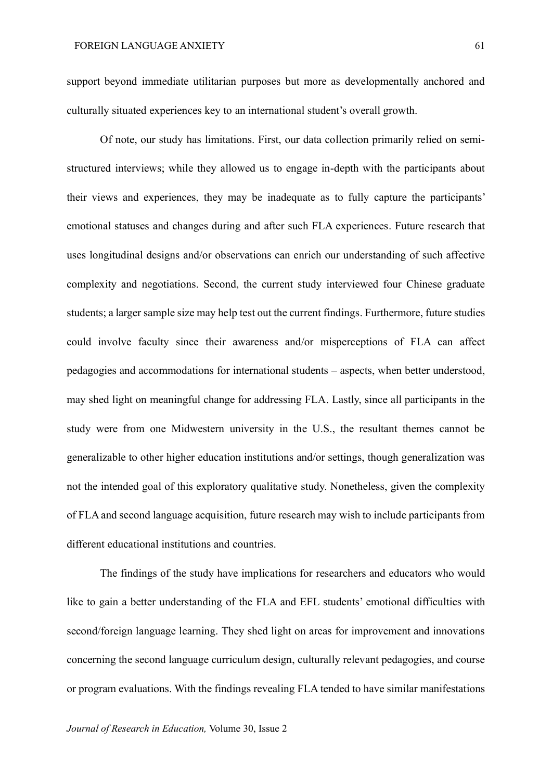support beyond immediate utilitarian purposes but more as developmentally anchored and culturally situated experiences key to an international student's overall growth.

Of note, our study has limitations. First, our data collection primarily relied on semistructured interviews; while they allowed us to engage in-depth with the participants about their views and experiences, they may be inadequate as to fully capture the participants' emotional statuses and changes during and after such FLA experiences. Future research that uses longitudinal designs and/or observations can enrich our understanding of such affective complexity and negotiations. Second, the current study interviewed four Chinese graduate students; a larger sample size may help test out the current findings. Furthermore, future studies could involve faculty since their awareness and/or misperceptions of FLA can affect pedagogies and accommodations for international students – aspects, when better understood, may shed light on meaningful change for addressing FLA. Lastly, since all participants in the study were from one Midwestern university in the U.S., the resultant themes cannot be generalizable to other higher education institutions and/or settings, though generalization was not the intended goal of this exploratory qualitative study. Nonetheless, given the complexity of FLA and second language acquisition, future research may wish to include participants from different educational institutions and countries.

The findings of the study have implications for researchers and educators who would like to gain a better understanding of the FLA and EFL students' emotional difficulties with second/foreign language learning. They shed light on areas for improvement and innovations concerning the second language curriculum design, culturally relevant pedagogies, and course or program evaluations. With the findings revealing FLA tended to have similar manifestations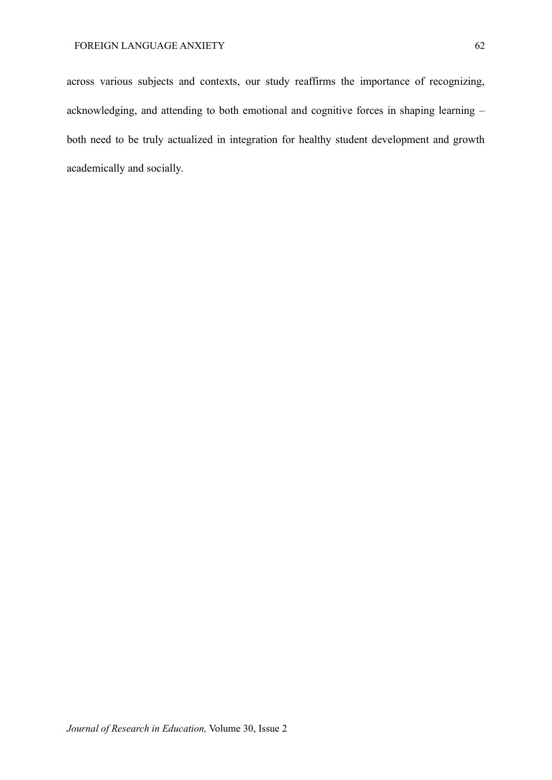across various subjects and contexts, our study reaffirms the importance of recognizing, acknowledging, and attending to both emotional and cognitive forces in shaping learning – both need to be truly actualized in integration for healthy student development and growth academically and socially.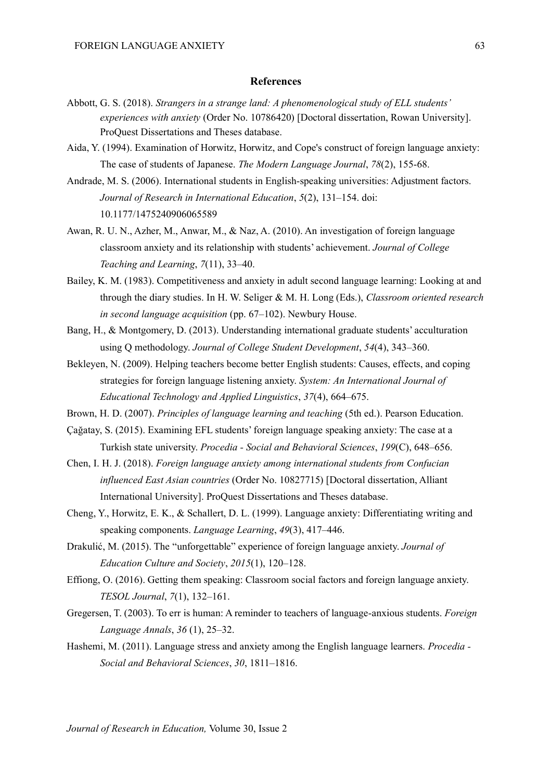#### **References**

- Abbott, G. S. (2018). *Strangers in a strange land: A phenomenological study of ELL students' experiences with anxiety* (Order No. 10786420) [Doctoral dissertation, Rowan University]. ProQuest Dissertations and Theses database.
- Aida, Y. (1994). Examination of Horwitz, Horwitz, and Cope's construct of foreign language anxiety: The case of students of Japanese. *The Modern Language Journal*, *78*(2), 155-68.
- Andrade, M. S. (2006). International students in English-speaking universities: Adjustment factors. *Journal of Research in International Education*, *5*(2), 131–154. doi: 10.1177/1475240906065589
- Awan, R. U. N., Azher, M., Anwar, M., & Naz, A. (2010). An investigation of foreign language classroom anxiety and its relationship with students' achievement. *Journal of College Teaching and Learning*, *7*(11), 33–40.
- Bailey, K. M. (1983). Competitiveness and anxiety in adult second language learning: Looking at and through the diary studies. In H. W. Seliger & M. H. Long (Eds.), *Classroom oriented research in second language acquisition* (pp. 67–102). Newbury House.
- Bang, H., & Montgomery, D. (2013). Understanding international graduate students' acculturation using Q methodology. *Journal of College Student Development*, *54*(4), 343–360.
- Bekleyen, N. (2009). Helping teachers become better English students: Causes, effects, and coping strategies for foreign language listening anxiety. *System: An International Journal of Educational Technology and Applied Linguistics*, *37*(4), 664–675.

Brown, H. D. (2007). *Principles of language learning and teaching* (5th ed.). Pearson Education.

- Çağatay, S. (2015). Examining EFL students' foreign language speaking anxiety: The case at a Turkish state university. *Procedia - Social and Behavioral Sciences*, *199*(C), 648–656.
- Chen, I. H. J. (2018). *Foreign language anxiety among international students from Confucian influenced East Asian countries* (Order No. 10827715) [Doctoral dissertation, Alliant International University]. ProQuest Dissertations and Theses database.
- Cheng, Y., Horwitz, E. K., & Schallert, D. L. (1999). Language anxiety: Differentiating writing and speaking components. *Language Learning*, *49*(3), 417–446.
- Drakulić, M. (2015). The "unforgettable" experience of foreign language anxiety. *Journal of Education Culture and Society*, *2015*(1), 120–128.
- Effiong, O. (2016). Getting them speaking: Classroom social factors and foreign language anxiety. *TESOL Journal*, *7*(1), 132–161.
- Gregersen, T. (2003). To err is human: A reminder to teachers of language-anxious students. *Foreign Language Annals*, *36* (1), 25–32.
- Hashemi, M. (2011). Language stress and anxiety among the English language learners. *Procedia - Social and Behavioral Sciences*, *30*, 1811–1816.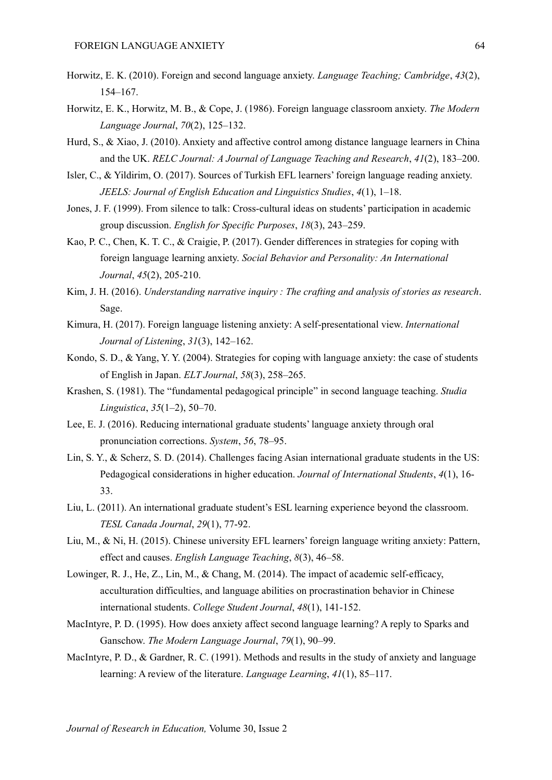- Horwitz, E. K. (2010). Foreign and second language anxiety. *Language Teaching; Cambridge*, *43*(2), 154–167.
- Horwitz, E. K., Horwitz, M. B., & Cope, J. (1986). Foreign language classroom anxiety. *The Modern Language Journal*, *70*(2), 125–132.
- Hurd, S., & Xiao, J. (2010). Anxiety and affective control among distance language learners in China and the UK. *RELC Journal: A Journal of Language Teaching and Research*, *41*(2), 183–200.
- Isler, C., & Yildirim, O. (2017). Sources of Turkish EFL learners' foreign language reading anxiety. *JEELS: Journal of English Education and Linguistics Studies*, *4*(1), 1–18.
- Jones, J. F. (1999). From silence to talk: Cross-cultural ideas on students' participation in academic group discussion. *English for Specific Purposes*, *18*(3), 243–259.
- Kao, P. C., Chen, K. T. C., & Craigie, P. (2017). Gender differences in strategies for coping with foreign language learning anxiety. *Social Behavior and Personality: An International Journal*, *45*(2), 205-210.
- Kim, J. H. (2016). *Understanding narrative inquiry : The crafting and analysis of stories as research*. Sage.
- Kimura, H. (2017). Foreign language listening anxiety: A self-presentational view. *International Journal of Listening*, *31*(3), 142–162.
- Kondo, S. D., & Yang, Y. Y. (2004). Strategies for coping with language anxiety: the case of students of English in Japan. *ELT Journal*, *58*(3), 258–265.
- Krashen, S. (1981). The "fundamental pedagogical principle" in second language teaching. *Studia Linguistica*, *35*(1–2), 50–70.
- Lee, E. J. (2016). Reducing international graduate students' language anxiety through oral pronunciation corrections. *System*, *56*, 78–95.
- Lin, S. Y., & Scherz, S. D. (2014). Challenges facing Asian international graduate students in the US: Pedagogical considerations in higher education. *Journal of International Students*, *4*(1), 16- 33.
- Liu, L. (2011). An international graduate student's ESL learning experience beyond the classroom. *TESL Canada Journal*, *29*(1), 77-92.
- Liu, M., & Ni, H. (2015). Chinese university EFL learners' foreign language writing anxiety: Pattern, effect and causes. *English Language Teaching*, *8*(3), 46–58.
- Lowinger, R. J., He, Z., Lin, M., & Chang, M. (2014). The impact of academic self-efficacy, acculturation difficulties, and language abilities on procrastination behavior in Chinese international students. *College Student Journal*, *48*(1), 141-152.
- MacIntyre, P. D. (1995). How does anxiety affect second language learning? A reply to Sparks and Ganschow. *The Modern Language Journal*, *79*(1), 90–99.
- MacIntyre, P. D., & Gardner, R. C. (1991). Methods and results in the study of anxiety and language learning: A review of the literature. *Language Learning*, *41*(1), 85–117.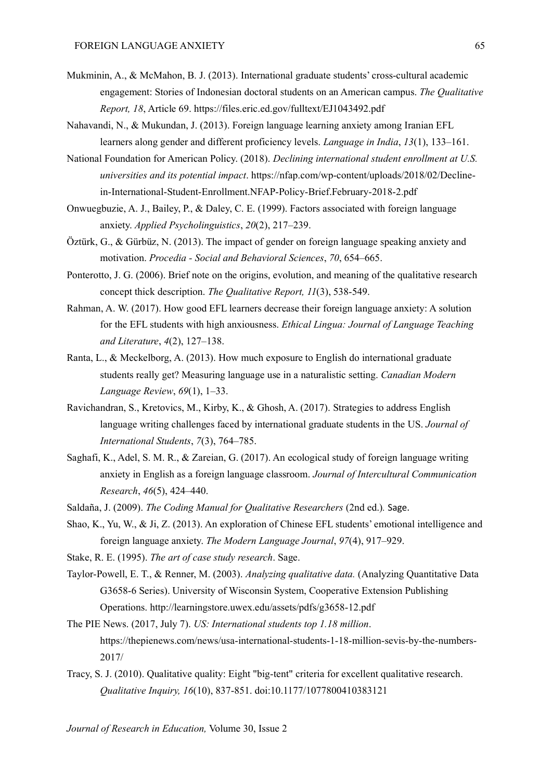- Mukminin, A., & McMahon, B. J. (2013). International graduate students' cross-cultural academic engagement: Stories of Indonesian doctoral students on an American campus. *The Qualitative Report, 18*, Article 69. https://files.eric.ed.gov/fulltext/EJ1043492.pdf
- Nahavandi, N., & Mukundan, J. (2013). Foreign language learning anxiety among Iranian EFL learners along gender and different proficiency levels. *Language in India*, *13*(1), 133–161.
- National Foundation for American Policy. (2018). *Declining international student enrollment at U.S. universities and its potential impact*. https://nfap.com/wp-content/uploads/2018/02/Declinein-International-Student-Enrollment.NFAP-Policy-Brief.February-2018-2.pdf
- Onwuegbuzie, A. J., Bailey, P., & Daley, C. E. (1999). Factors associated with foreign language anxiety. *Applied Psycholinguistics*, *20*(2), 217–239.
- Öztürk, G., & Gürbüz, N. (2013). The impact of gender on foreign language speaking anxiety and motivation. *Procedia - Social and Behavioral Sciences*, *70*, 654–665.
- Ponterotto, J. G. (2006). Brief note on the origins, evolution, and meaning of the qualitative research concept thick description. *The Qualitative Report, 11*(3), 538-549.
- Rahman, A. W. (2017). How good EFL learners decrease their foreign language anxiety: A solution for the EFL students with high anxiousness. *Ethical Lingua: Journal of Language Teaching and Literature*, *4*(2), 127–138.
- Ranta, L., & Meckelborg, A. (2013). How much exposure to English do international graduate students really get? Measuring language use in a naturalistic setting. *Canadian Modern Language Review*, *69*(1), 1–33.
- Ravichandran, S., Kretovics, M., Kirby, K., & Ghosh, A. (2017). Strategies to address English language writing challenges faced by international graduate students in the US. *Journal of International Students*, *7*(3), 764–785.
- Saghafi, K., Adel, S. M. R., & Zareian, G. (2017). An ecological study of foreign language writing anxiety in English as a foreign language classroom. *Journal of Intercultural Communication Research*, *46*(5), 424–440.
- Saldaña, J. (2009). *The Coding Manual for Qualitative Researchers* (2nd ed.)*.* Sage.
- Shao, K., Yu, W., & Ji, Z. (2013). An exploration of Chinese EFL students' emotional intelligence and foreign language anxiety. *The Modern Language Journal*, *97*(4), 917–929.
- Stake, R. E. (1995). *The art of case study research*. Sage.
- Taylor-Powell, E. T., & Renner, M. (2003). *Analyzing qualitative data.* (Analyzing Quantitative Data G3658-6 Series). University of Wisconsin System, Cooperative Extension Publishing Operations. <http://learningstore.uwex.edu/assets/pdfs/g3658-12.pdf>
- The PIE News. (2017, July 7). *US: International students top 1.18 million*. https://thepienews.com/news/usa-international-students-1-18-million-sevis-by-the-numbers-2017/
- Tracy, S. J. (2010). Qualitative quality: Eight "big-tent" criteria for excellent qualitative research. *Qualitative Inquiry, 16*(10), 837-851. doi:10.1177/1077800410383121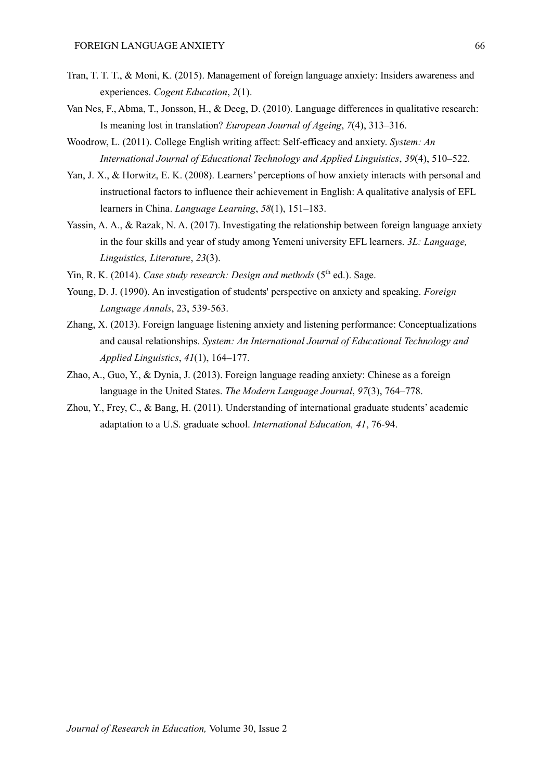- Tran, T. T. T., & Moni, K. (2015). Management of foreign language anxiety: Insiders awareness and experiences. *Cogent Education*, *2*(1).
- Van Nes, F., Abma, T., Jonsson, H., & Deeg, D. (2010). Language differences in qualitative research: Is meaning lost in translation? *European Journal of Ageing*, *7*(4), 313–316.
- Woodrow, L. (2011). College English writing affect: Self-efficacy and anxiety. *System: An International Journal of Educational Technology and Applied Linguistics*, *39*(4), 510–522.
- Yan, J. X., & Horwitz, E. K. (2008). Learners' perceptions of how anxiety interacts with personal and instructional factors to influence their achievement in English: A qualitative analysis of EFL learners in China. *Language Learning*, *58*(1), 151–183.
- Yassin, A. A., & Razak, N. A. (2017). Investigating the relationship between foreign language anxiety in the four skills and year of study among Yemeni university EFL learners. *3L: Language, Linguistics, Literature*, *23*(3).
- Yin, R. K. (2014). *Case study research: Design and methods* (5<sup>th</sup> ed.). Sage.
- Young, D. J. (1990). An investigation of students' perspective on anxiety and speaking. *Foreign Language Annals*, 23, 539-563.
- Zhang, X. (2013). Foreign language listening anxiety and listening performance: Conceptualizations and causal relationships. *System: An International Journal of Educational Technology and Applied Linguistics*, *41*(1), 164–177.
- Zhao, A., Guo, Y., & Dynia, J. (2013). Foreign language reading anxiety: Chinese as a foreign language in the United States. *The Modern Language Journal*, *97*(3), 764–778.
- Zhou, Y., Frey, C., & Bang, H. (2011). Understanding of international graduate students' academic adaptation to a U.S. graduate school. *International Education, 41*, 76-94.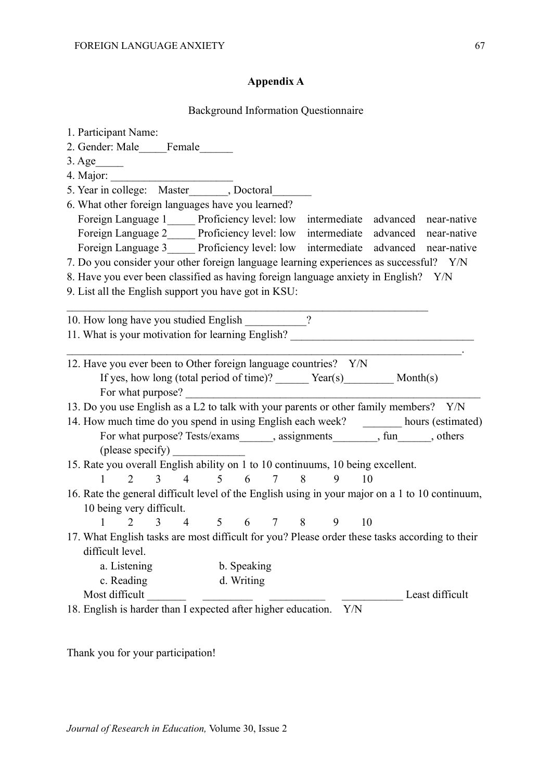## **Appendix A**

### Background Information Questionnaire

| 1. Participant Name:<br>2. Gender: Male<br>Female<br>$3. \text{Age}$<br>5. Year in college: Master , Doctoral<br>6. What other foreign languages have you learned?  |
|---------------------------------------------------------------------------------------------------------------------------------------------------------------------|
| Foreign Language 1 Proficiency level: low intermediate advanced near-native                                                                                         |
| Foreign Language 2______ Proficiency level: low intermediate advanced near-native                                                                                   |
| Foreign Language 3______ Proficiency level: low intermediate advanced near-native                                                                                   |
| 7. Do you consider your other foreign language learning experiences as successful? Y/N                                                                              |
| 8. Have you ever been classified as having foreign language anxiety in English? Y/N                                                                                 |
| 9. List all the English support you have got in KSU:                                                                                                                |
| $\gamma$<br>10. How long have you studied English<br>11. What is your motivation for learning English?                                                              |
| 12. Have you ever been to Other foreign language countries? Y/N<br>If yes, how long (total period of time)? _______ Year(s)__________ Month(s)<br>For what purpose? |
| 13. Do you use English as a L2 to talk with your parents or other family members? Y/N                                                                               |
| 14. How much time do you spend in using English each week? ________ hours (estimated)                                                                               |
| For what purpose? Tests/exams_______, assignments_________, fun______, others                                                                                       |
| (please specify)                                                                                                                                                    |
| 15. Rate you overall English ability on 1 to 10 continuums, 10 being excellent.                                                                                     |
| 6<br>3<br>$\overline{4}$<br>5 <sup>5</sup><br>8<br>10<br>1<br>$\overline{2}$<br>$7\overline{ }$<br>9                                                                |
| 16. Rate the general difficult level of the English using in your major on a 1 to 10 continuum,                                                                     |
| 10 being very difficult.<br>4 5 6 7 8 9                                                                                                                             |
| 10<br>$\overline{3}$<br>1                                                                                                                                           |
| 17. What English tasks are most difficult for you? Please order these tasks according to their                                                                      |
|                                                                                                                                                                     |
| difficult level.                                                                                                                                                    |
| a. Listening<br>b. Speaking                                                                                                                                         |
| c. Reading<br>d. Writing                                                                                                                                            |
| Most difficult<br>Least difficult<br>18. English is harder than I expected after higher education.<br>Y/N                                                           |

Thank you for your participation!